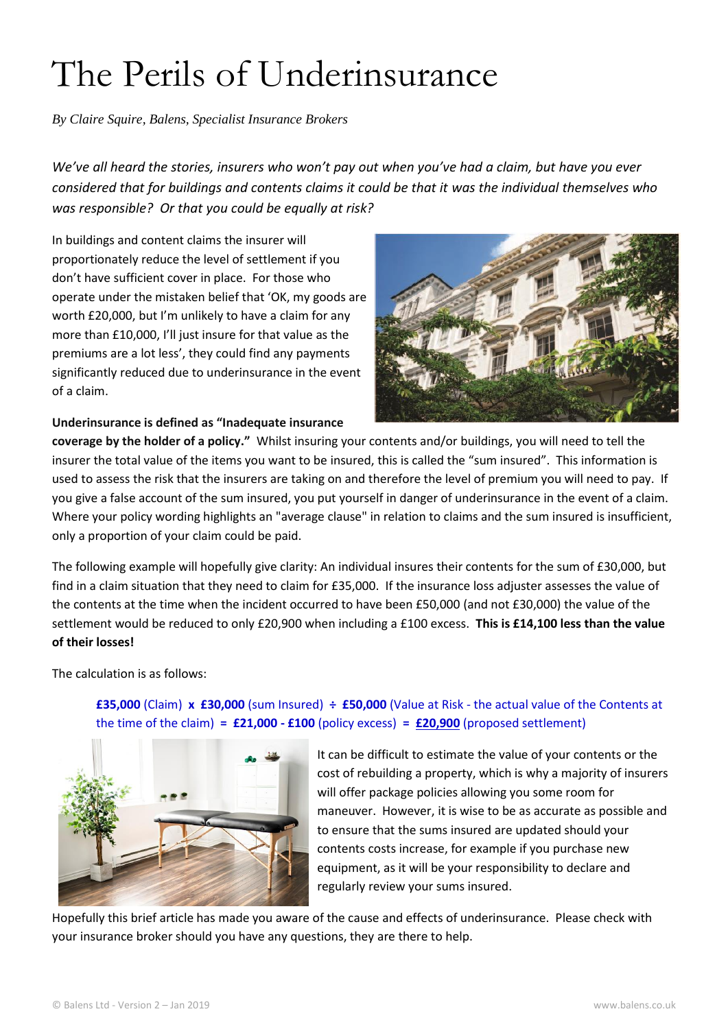## The Perils of Underinsurance

*By Claire Squire, Balens, Specialist Insurance Brokers*

*We've all heard the stories, insurers who won't pay out when you've had a claim, but have you ever considered that for buildings and contents claims it could be that it was the individual themselves who was responsible? Or that you could be equally at risk?* 

In buildings and content claims the insurer will proportionately reduce the level of settlement if you don't have sufficient cover in place. For those who operate under the mistaken belief that 'OK, my goods are worth £20,000, but I'm unlikely to have a claim for any more than £10,000, I'll just insure for that value as the premiums are a lot less', they could find any payments significantly reduced due to underinsurance in the event of a claim.



## **Underinsurance is defined as "Inadequate insurance**

**coverage by the holder of a policy."** Whilst insuring your contents and/or buildings, you will need to tell the insurer the total value of the items you want to be insured, this is called the "sum insured". This information is used to assess the risk that the insurers are taking on and therefore the level of premium you will need to pay. If you give a false account of the sum insured, you put yourself in danger of underinsurance in the event of a claim. Where your policy wording highlights an "average clause" in relation to claims and the sum insured is insufficient, only a proportion of your claim could be paid.

The following example will hopefully give clarity: An individual insures their contents for the sum of £30,000, but find in a claim situation that they need to claim for £35,000. If the insurance loss adjuster assesses the value of the contents at the time when the incident occurred to have been £50,000 (and not £30,000) the value of the settlement would be reduced to only £20,900 when including a £100 excess. **This is £14,100 less than the value of their losses!** 

The calculation is as follows:

## **£35,000** (Claim) **x £30,000** (sum Insured) **÷ £50,000** (Value at Risk - the actual value of the Contents at the time of the claim) **= £21,000 - £100** (policy excess) **= £20,900** (proposed settlement)



It can be difficult to estimate the value of your contents or the cost of rebuilding a property, which is why a majority of insurers will offer package policies allowing you some room for maneuver. However, it is wise to be as accurate as possible and to ensure that the sums insured are updated should your contents costs increase, for example if you purchase new equipment, as it will be your responsibility to declare and regularly review your sums insured.

Hopefully this brief article has made you aware of the cause and effects of underinsurance. Please check with your insurance broker should you have any questions, they are there to help.